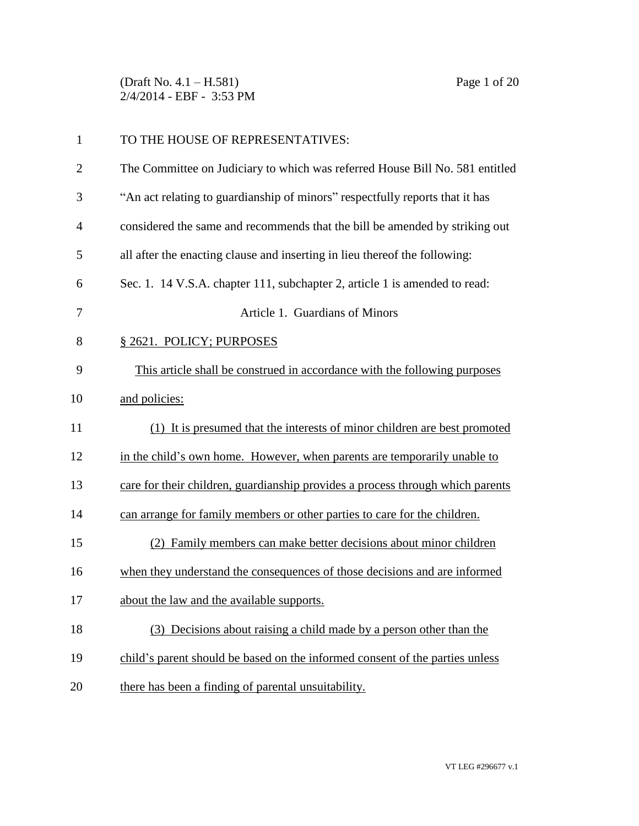(Draft No. 4.1 – H.581) Page 1 of 20 2/4/2014 - EBF - 3:53 PM

| $\mathbf{1}$   | TO THE HOUSE OF REPRESENTATIVES:                                               |
|----------------|--------------------------------------------------------------------------------|
| $\overline{2}$ | The Committee on Judiciary to which was referred House Bill No. 581 entitled   |
| 3              | "An act relating to guardianship of minors" respectfully reports that it has   |
| $\overline{4}$ | considered the same and recommends that the bill be amended by striking out    |
| 5              | all after the enacting clause and inserting in lieu thereof the following:     |
| 6              | Sec. 1. 14 V.S.A. chapter 111, subchapter 2, article 1 is amended to read:     |
| 7              | Article 1. Guardians of Minors                                                 |
| 8              | § 2621. POLICY; PURPOSES                                                       |
| 9              | This article shall be construed in accordance with the following purposes      |
| 10             | and policies:                                                                  |
| 11             | (1) It is presumed that the interests of minor children are best promoted      |
| 12             | in the child's own home. However, when parents are temporarily unable to       |
| 13             | care for their children, guardianship provides a process through which parents |
| 14             | can arrange for family members or other parties to care for the children.      |
| 15             | (2) Family members can make better decisions about minor children              |
| 16             | when they understand the consequences of those decisions and are informed      |
| 17             | about the law and the available supports.                                      |
| 18             | (3) Decisions about raising a child made by a person other than the            |
| 19             | child's parent should be based on the informed consent of the parties unless   |
| 20             | there has been a finding of parental unsuitability.                            |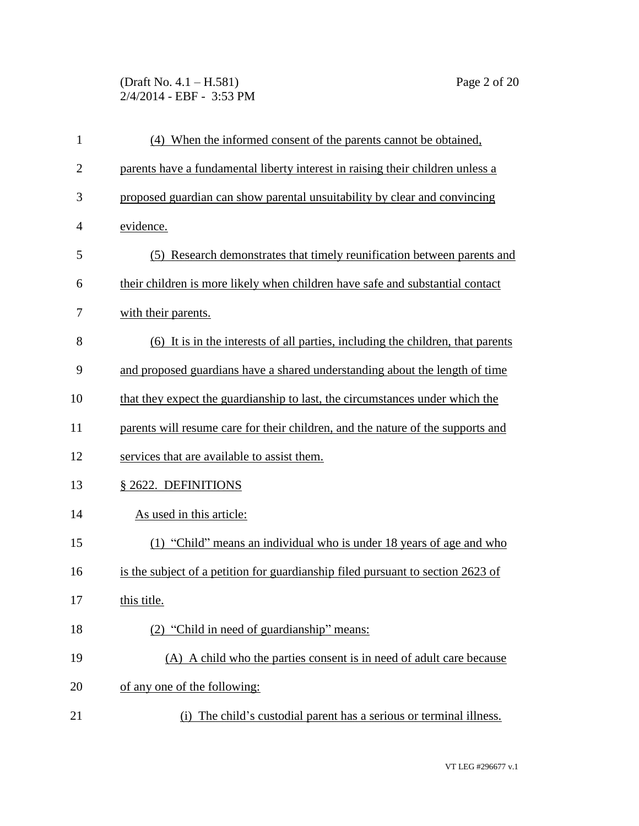(Draft No. 4.1 – H.581) Page 2 of 20 2/4/2014 - EBF - 3:53 PM

| $\mathbf{1}$   | (4) When the informed consent of the parents cannot be obtained,                |
|----------------|---------------------------------------------------------------------------------|
| $\overline{2}$ | parents have a fundamental liberty interest in raising their children unless a  |
| 3              | proposed guardian can show parental unsuitability by clear and convincing       |
| 4              | evidence.                                                                       |
| 5              | (5) Research demonstrates that timely reunification between parents and         |
| 6              | their children is more likely when children have safe and substantial contact   |
| 7              | with their parents.                                                             |
| 8              | (6) It is in the interests of all parties, including the children, that parents |
| 9              | and proposed guardians have a shared understanding about the length of time     |
| 10             | that they expect the guardianship to last, the circumstances under which the    |
| 11             | parents will resume care for their children, and the nature of the supports and |
| 12             | services that are available to assist them.                                     |
| 13             | § 2622. DEFINITIONS                                                             |
| 14             | As used in this article:                                                        |
| 15             | (1) "Child" means an individual who is under 18 years of age and who            |
| 16             | is the subject of a petition for guardianship filed pursuant to section 2623 of |
| 17             | this title.                                                                     |
| 18             | (2) "Child in need of guardianship" means:                                      |
| 19             | (A) A child who the parties consent is in need of adult care because            |
| 20             | of any one of the following:                                                    |
| 21             | The child's custodial parent has a serious or terminal illness.<br>(i)          |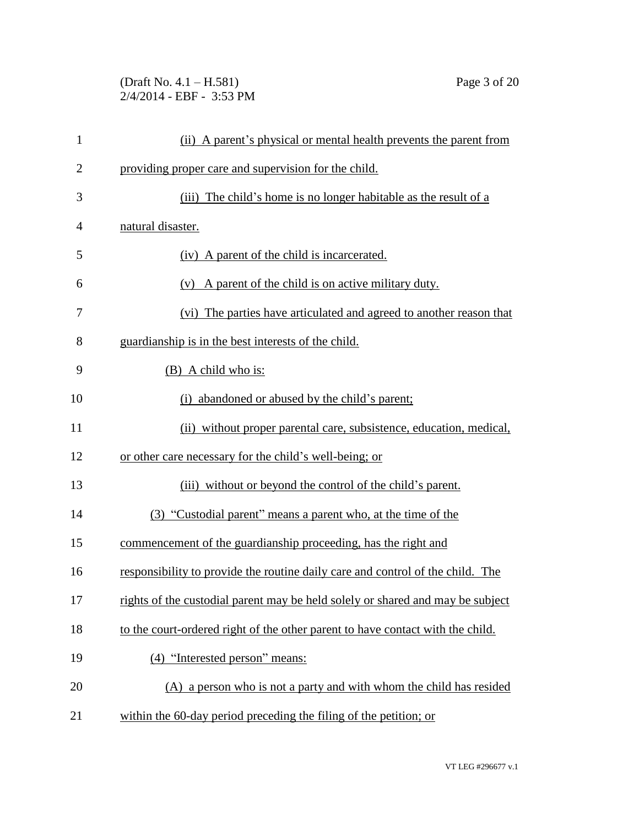(Draft No. 4.1 – H.581) Page 3 of 20 2/4/2014 - EBF - 3:53 PM

| $\mathbf{1}$   | (ii) A parent's physical or mental health prevents the parent from             |
|----------------|--------------------------------------------------------------------------------|
| $\overline{2}$ | providing proper care and supervision for the child.                           |
| 3              | The child's home is no longer habitable as the result of a<br>(iii)            |
| $\overline{4}$ | natural disaster.                                                              |
| 5              | (iv) A parent of the child is incarcerated.                                    |
| 6              | (v) A parent of the child is on active military duty.                          |
| 7              | (vi) The parties have articulated and agreed to another reason that            |
| 8              | guardianship is in the best interests of the child.                            |
| 9              | (B) A child who is:                                                            |
| 10             | (i) abandoned or abused by the child's parent;                                 |
| 11             | (ii) without proper parental care, subsistence, education, medical,            |
| 12             | or other care necessary for the child's well-being; or                         |
| 13             | (iii) without or beyond the control of the child's parent.                     |
| 14             | (3) "Custodial parent" means a parent who, at the time of the                  |
| 15             | commencement of the guardianship proceeding, has the right and                 |
| 16             | responsibility to provide the routine daily care and control of the child. The |
| 17             | rights of the custodial parent may be held solely or shared and may be subject |
| 18             | to the court-ordered right of the other parent to have contact with the child. |
| 19             | (4) "Interested person" means:                                                 |
| 20             | (A) a person who is not a party and with whom the child has resided            |
| 21             | within the 60-day period preceding the filing of the petition; or              |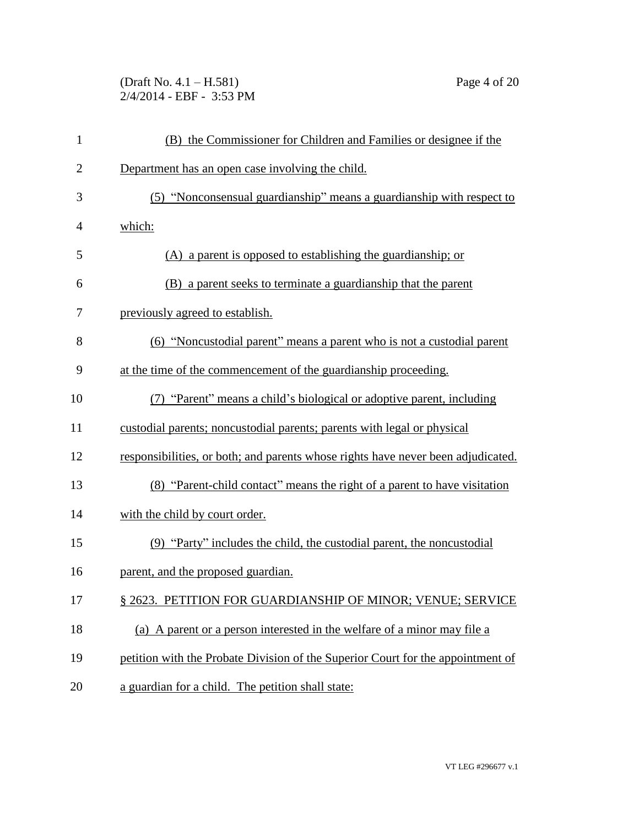(Draft No. 4.1 – H.581) Page 4 of 20 2/4/2014 - EBF - 3:53 PM

| $\mathbf{1}$   | (B) the Commissioner for Children and Families or designee if the                |
|----------------|----------------------------------------------------------------------------------|
| $\overline{2}$ | Department has an open case involving the child.                                 |
| 3              | (5) "Nonconsensual guardianship" means a guardianship with respect to            |
| 4              | which:                                                                           |
| 5              | (A) a parent is opposed to establishing the guardianship; or                     |
| 6              | (B) a parent seeks to terminate a guardianship that the parent                   |
| 7              | previously agreed to establish.                                                  |
| 8              | (6) "Noncustodial parent" means a parent who is not a custodial parent           |
| 9              | at the time of the commencement of the guardianship proceeding.                  |
| 10             | (7) "Parent" means a child's biological or adoptive parent, including            |
| 11             | custodial parents; noncustodial parents; parents with legal or physical          |
| 12             | responsibilities, or both; and parents whose rights have never been adjudicated. |
| 13             | (8) "Parent-child contact" means the right of a parent to have visitation        |
| 14             | with the child by court order.                                                   |
| 15             | (9) "Party" includes the child, the custodial parent, the noncustodial           |
| 16             | parent, and the proposed guardian.                                               |
| 17             | § 2623. PETITION FOR GUARDIANSHIP OF MINOR; VENUE; SERVICE                       |
| 18             | (a) A parent or a person interested in the welfare of a minor may file a         |
| 19             | petition with the Probate Division of the Superior Court for the appointment of  |
| 20             | a guardian for a child. The petition shall state:                                |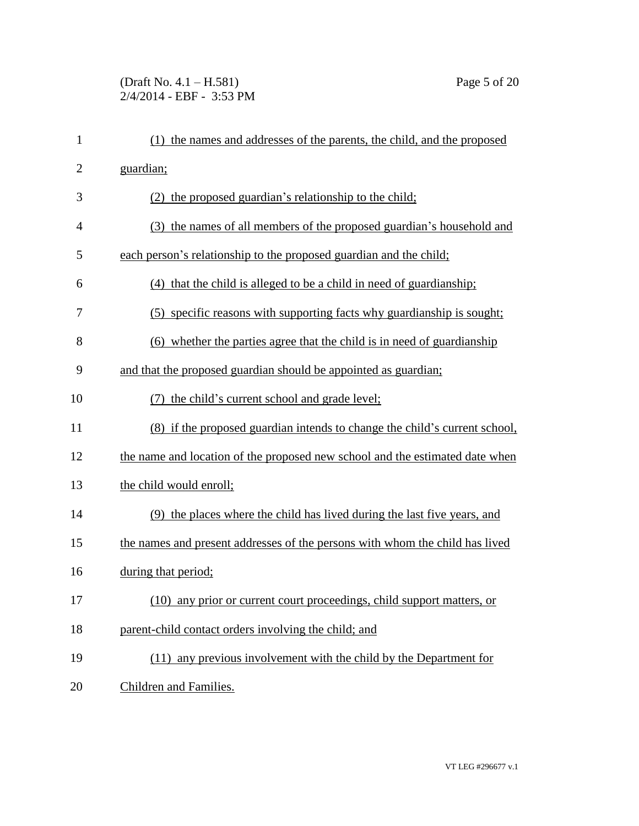## (Draft No. 4.1 – H.581) Page 5 of 20 2/4/2014 - EBF - 3:53 PM

| $\mathbf{1}$   | (1) the names and addresses of the parents, the child, and the proposed      |
|----------------|------------------------------------------------------------------------------|
| $\overline{2}$ | guardian;                                                                    |
| 3              | (2) the proposed guardian's relationship to the child;                       |
| $\overline{4}$ | (3) the names of all members of the proposed guardian's household and        |
| 5              | each person's relationship to the proposed guardian and the child;           |
| 6              | (4) that the child is alleged to be a child in need of guardianship;         |
| 7              | (5) specific reasons with supporting facts why guardianship is sought;       |
| 8              | (6) whether the parties agree that the child is in need of guardianship      |
| 9              | and that the proposed guardian should be appointed as guardian;              |
| 10             | the child's current school and grade level;                                  |
| 11             | (8) if the proposed guardian intends to change the child's current school,   |
| 12             | the name and location of the proposed new school and the estimated date when |
| 13             | the child would enroll;                                                      |
| 14             | (9) the places where the child has lived during the last five years, and     |
| 15             | the names and present addresses of the persons with whom the child has lived |
| 16             | during that period;                                                          |
| 17             | (10) any prior or current court proceedings, child support matters, or       |
| 18             | parent-child contact orders involving the child; and                         |
| 19             | (11) any previous involvement with the child by the Department for           |
| 20             | Children and Families.                                                       |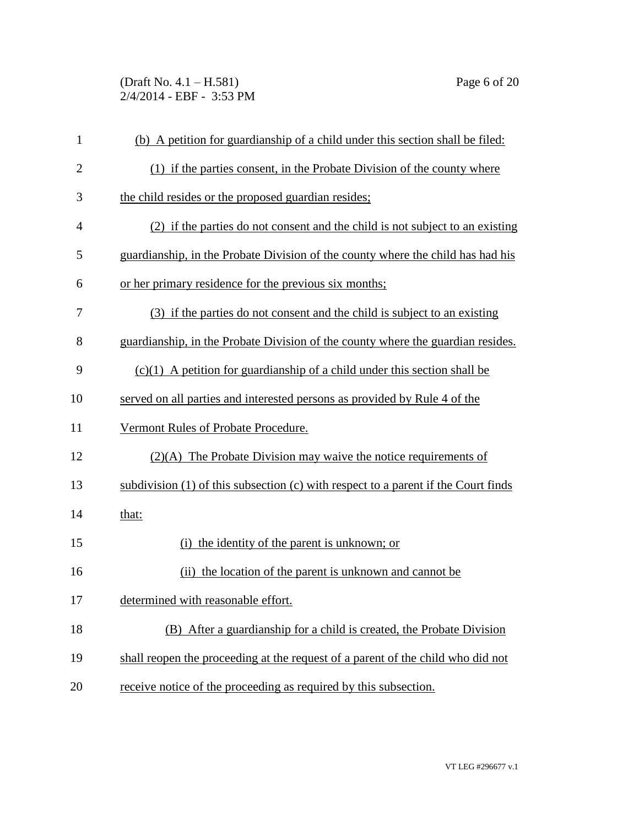(Draft No. 4.1 – H.581) Page 6 of 20 2/4/2014 - EBF - 3:53 PM

| $\mathbf{1}$   | (b) A petition for guardianship of a child under this section shall be filed:      |
|----------------|------------------------------------------------------------------------------------|
| $\overline{c}$ | (1) if the parties consent, in the Probate Division of the county where            |
| 3              | the child resides or the proposed guardian resides;                                |
| 4              | (2) if the parties do not consent and the child is not subject to an existing      |
| 5              | guardianship, in the Probate Division of the county where the child has had his    |
| 6              | or her primary residence for the previous six months;                              |
| 7              | (3) if the parties do not consent and the child is subject to an existing          |
| 8              | guardianship, in the Probate Division of the county where the guardian resides.    |
| 9              | $(c)(1)$ A petition for guardianship of a child under this section shall be        |
| 10             | served on all parties and interested persons as provided by Rule 4 of the          |
| 11             | Vermont Rules of Probate Procedure.                                                |
| 12             | $(2)(A)$ The Probate Division may waive the notice requirements of                 |
| 13             | subdivision (1) of this subsection (c) with respect to a parent if the Court finds |
| 14             | that:                                                                              |
| 15             | (i) the identity of the parent is unknown; or                                      |
| 16             | (ii) the location of the parent is unknown and cannot be                           |
| 17             | determined with reasonable effort.                                                 |
| 18             | (B) After a guardianship for a child is created, the Probate Division              |
| 19             | shall reopen the proceeding at the request of a parent of the child who did not    |
| 20             | receive notice of the proceeding as required by this subsection.                   |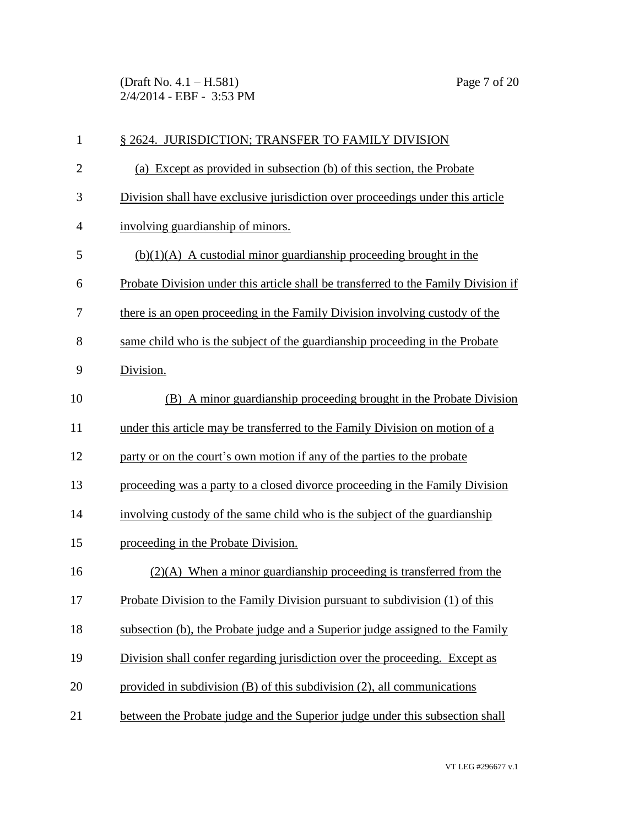(Draft No. 4.1 – H.581) Page 7 of 20 2/4/2014 - EBF - 3:53 PM

| $\mathbf{1}$   | § 2624. JURISDICTION; TRANSFER TO FAMILY DIVISION                                  |
|----------------|------------------------------------------------------------------------------------|
| $\overline{2}$ | (a) Except as provided in subsection (b) of this section, the Probate              |
| 3              | Division shall have exclusive jurisdiction over proceedings under this article     |
| $\overline{4}$ | involving guardianship of minors.                                                  |
| 5              | $(b)(1)(A)$ A custodial minor guardianship proceeding brought in the               |
| 6              | Probate Division under this article shall be transferred to the Family Division if |
| 7              | there is an open proceeding in the Family Division involving custody of the        |
| 8              | same child who is the subject of the guardianship proceeding in the Probate        |
| 9              | Division.                                                                          |
| 10             | (B) A minor guardianship proceeding brought in the Probate Division                |
| 11             | under this article may be transferred to the Family Division on motion of a        |
| 12             | party or on the court's own motion if any of the parties to the probate            |
| 13             | proceeding was a party to a closed divorce proceeding in the Family Division       |
| 14             | involving custody of the same child who is the subject of the guardianship         |
| 15             | proceeding in the Probate Division.                                                |
| 16             | $(2)(A)$ When a minor guardianship proceeding is transferred from the              |
| 17             | <b>Probate Division to the Family Division pursuant to subdivision (1) of this</b> |
| 18             | subsection (b), the Probate judge and a Superior judge assigned to the Family      |
| 19             | Division shall confer regarding jurisdiction over the proceeding. Except as        |
| 20             | provided in subdivision $(B)$ of this subdivision $(2)$ , all communications       |
| 21             | between the Probate judge and the Superior judge under this subsection shall       |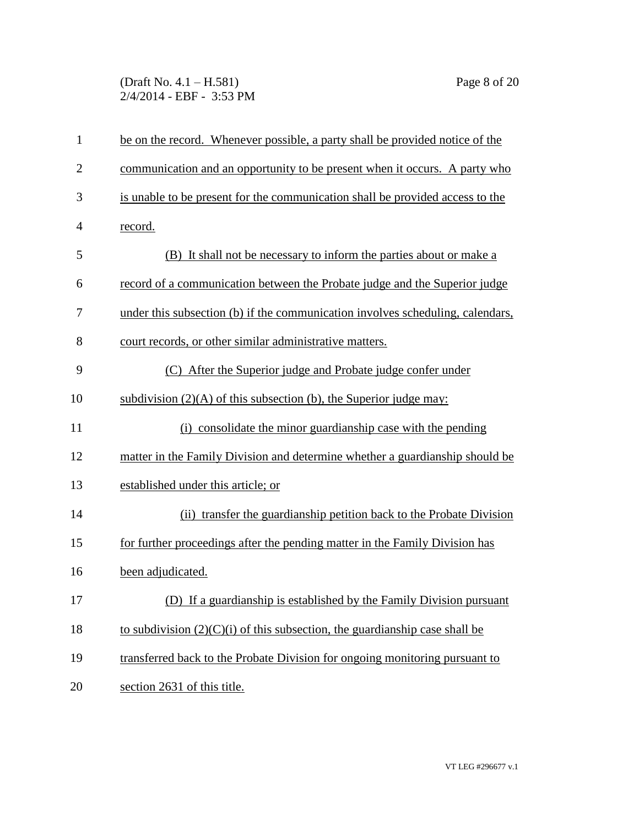(Draft No. 4.1 – H.581) Page 8 of 20 2/4/2014 - EBF - 3:53 PM

| $\mathbf{1}$   | be on the record. Whenever possible, a party shall be provided notice of the   |
|----------------|--------------------------------------------------------------------------------|
| $\overline{2}$ | communication and an opportunity to be present when it occurs. A party who     |
| 3              | is unable to be present for the communication shall be provided access to the  |
| $\overline{4}$ | record.                                                                        |
| 5              | (B) It shall not be necessary to inform the parties about or make a            |
| 6              | record of a communication between the Probate judge and the Superior judge     |
| 7              | under this subsection (b) if the communication involves scheduling, calendars, |
| 8              | court records, or other similar administrative matters.                        |
| 9              | (C) After the Superior judge and Probate judge confer under                    |
| 10             | subdivision $(2)(A)$ of this subsection (b), the Superior judge may:           |
| 11             | (i) consolidate the minor guardianship case with the pending                   |
| 12             | matter in the Family Division and determine whether a guardianship should be   |
| 13             | established under this article; or                                             |
| 14             | (ii) transfer the guardianship petition back to the Probate Division           |
| 15             | for further proceedings after the pending matter in the Family Division has    |
| 16             | been adjudicated.                                                              |
| 17             | (D) If a guardianship is established by the Family Division pursuant           |
| 18             | to subdivision $(2)(C)(i)$ of this subsection, the guardianship case shall be  |
| 19             | transferred back to the Probate Division for ongoing monitoring pursuant to    |
| 20             | section 2631 of this title.                                                    |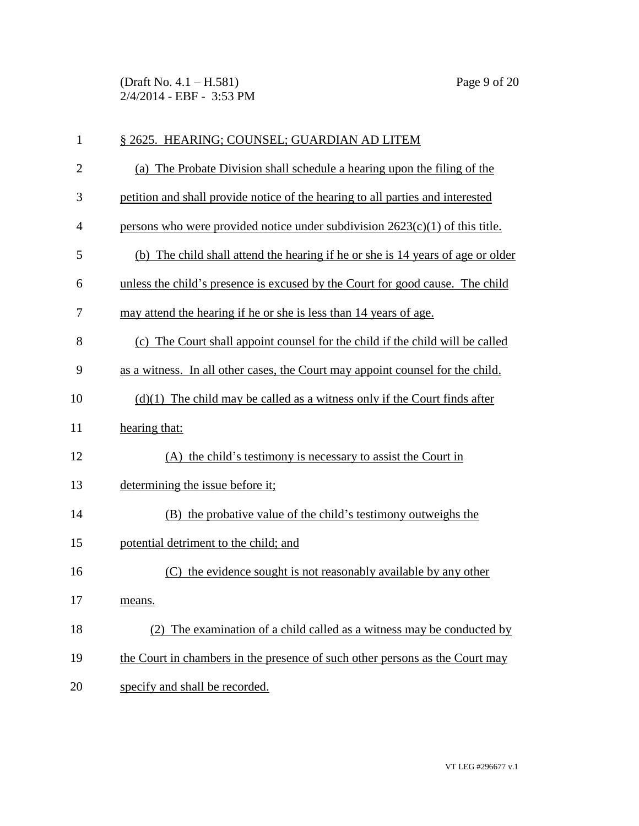(Draft No. 4.1 – H.581) Page 9 of 20 2/4/2014 - EBF - 3:53 PM

| $\mathbf{1}$   | § 2625. HEARING; COUNSEL; GUARDIAN AD LITEM                                     |
|----------------|---------------------------------------------------------------------------------|
| $\overline{c}$ | (a) The Probate Division shall schedule a hearing upon the filing of the        |
| 3              | petition and shall provide notice of the hearing to all parties and interested  |
| $\overline{4}$ | persons who were provided notice under subdivision $2623(c)(1)$ of this title.  |
| 5              | (b) The child shall attend the hearing if he or she is 14 years of age or older |
| 6              | unless the child's presence is excused by the Court for good cause. The child   |
| 7              | may attend the hearing if he or she is less than 14 years of age.               |
| 8              | (c) The Court shall appoint counsel for the child if the child will be called   |
| 9              | as a witness. In all other cases, the Court may appoint counsel for the child.  |
| 10             | $(d)(1)$ The child may be called as a witness only if the Court finds after     |
| 11             | hearing that:                                                                   |
| 12             | (A) the child's testimony is necessary to assist the Court in                   |
| 13             | determining the issue before it;                                                |
| 14             | (B) the probative value of the child's testimony outweighs the                  |
| 15             | potential detriment to the child; and                                           |
| 16             | the evidence sought is not reasonably available by any other<br>(C)             |
| 17             | means.                                                                          |
| 18             | The examination of a child called as a witness may be conducted by              |
| 19             | the Court in chambers in the presence of such other persons as the Court may    |
| 20             | specify and shall be recorded.                                                  |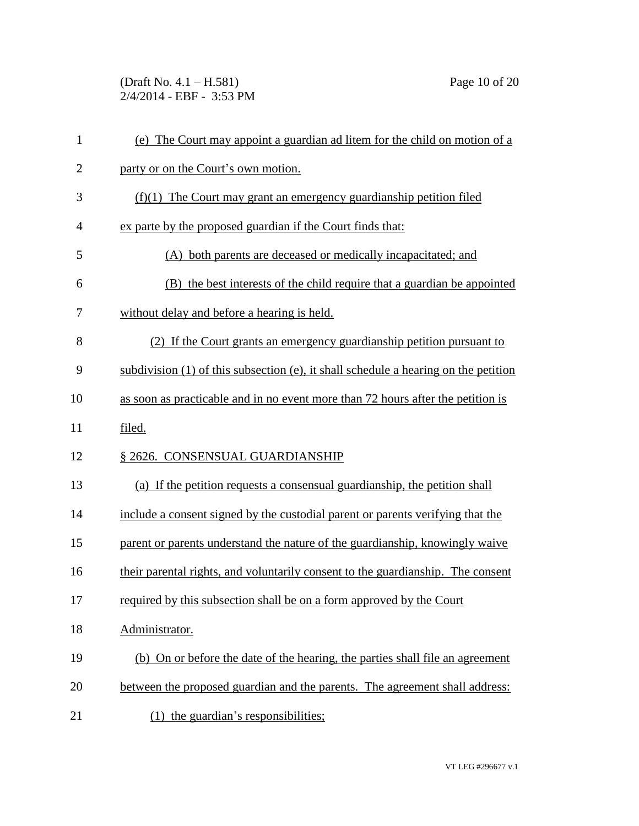(Draft No. 4.1 – H.581) Page 10 of 20 2/4/2014 - EBF - 3:53 PM

| $\mathbf{1}$   | (e) The Court may appoint a guardian ad litem for the child on motion of a               |
|----------------|------------------------------------------------------------------------------------------|
| $\overline{2}$ | party or on the Court's own motion.                                                      |
| 3              | $(f)(1)$ The Court may grant an emergency guardianship petition filed                    |
| 4              | ex parte by the proposed guardian if the Court finds that:                               |
| 5              | (A) both parents are deceased or medically incapacitated; and                            |
| 6              | (B) the best interests of the child require that a guardian be appointed                 |
| 7              | without delay and before a hearing is held.                                              |
| 8              | (2) If the Court grants an emergency guardianship petition pursuant to                   |
| 9              | subdivision $(1)$ of this subsection $(e)$ , it shall schedule a hearing on the petition |
| 10             | as soon as practicable and in no event more than 72 hours after the petition is          |
| 11             | filed.                                                                                   |
| 12             | § 2626. CONSENSUAL GUARDIANSHIP                                                          |
| 13             | (a) If the petition requests a consensual guardianship, the petition shall               |
| 14             | include a consent signed by the custodial parent or parents verifying that the           |
| 15             | parent or parents understand the nature of the guardianship, knowingly waive             |
| 16             | their parental rights, and voluntarily consent to the guardianship. The consent          |
| 17             | required by this subsection shall be on a form approved by the Court                     |
| 18             | Administrator.                                                                           |
| 19             | (b) On or before the date of the hearing, the parties shall file an agreement            |
| 20             | between the proposed guardian and the parents. The agreement shall address:              |
| 21             | the guardian's responsibilities;<br>(1)                                                  |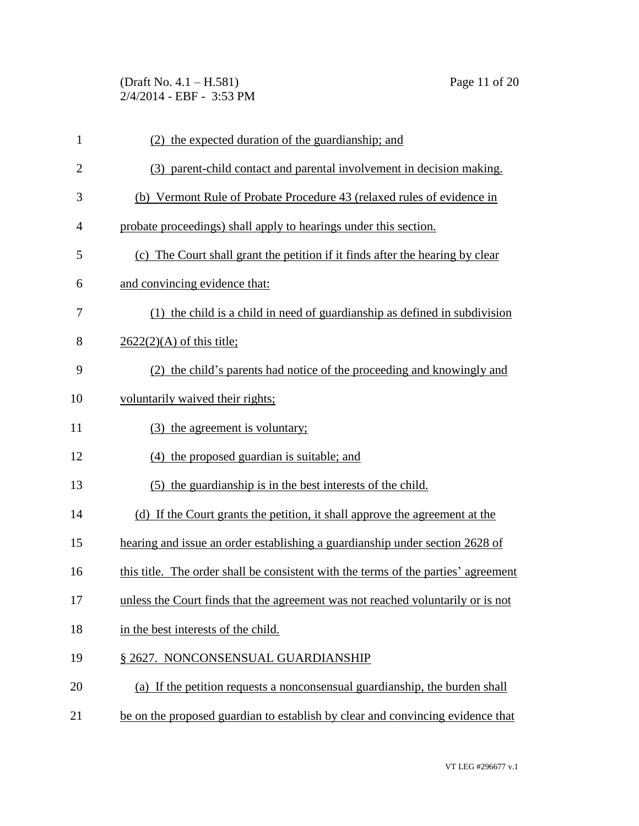(Draft No. 4.1 – H.581) Page 11 of 20 2/4/2014 - EBF - 3:53 PM

| $\mathbf{1}$   | (2) the expected duration of the guardianship; and                                 |
|----------------|------------------------------------------------------------------------------------|
| $\overline{2}$ | (3) parent-child contact and parental involvement in decision making.              |
| 3              | (b) Vermont Rule of Probate Procedure 43 (relaxed rules of evidence in             |
| 4              | probate proceedings) shall apply to hearings under this section.                   |
| 5              | (c) The Court shall grant the petition if it finds after the hearing by clear      |
| 6              | and convincing evidence that:                                                      |
| 7              | (1) the child is a child in need of guardianship as defined in subdivision         |
| 8              | $2622(2)(A)$ of this title;                                                        |
| 9              | (2) the child's parents had notice of the proceeding and knowingly and             |
| 10             | voluntarily waived their rights;                                                   |
| 11             | (3) the agreement is voluntary;                                                    |
| 12             | (4) the proposed guardian is suitable; and                                         |
| 13             | (5) the guardianship is in the best interests of the child.                        |
| 14             | (d) If the Court grants the petition, it shall approve the agreement at the        |
| 15             | hearing and issue an order establishing a guardianship under section 2628 of       |
| 16             | this title. The order shall be consistent with the terms of the parties' agreement |
| 17             | unless the Court finds that the agreement was not reached voluntarily or is not    |
| 18             | in the best interests of the child.                                                |
| 19             | § 2627. NONCONSENSUAL GUARDIANSHIP                                                 |
| 20             | (a) If the petition requests a nonconsensual guardianship, the burden shall        |
| 21             | be on the proposed guardian to establish by clear and convincing evidence that     |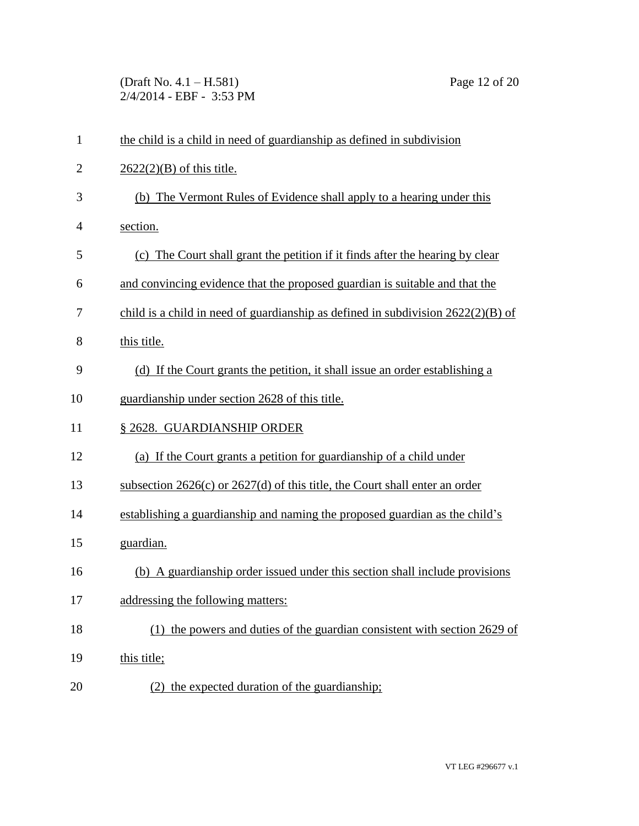(Draft No. 4.1 – H.581) Page 12 of 20 2/4/2014 - EBF - 3:53 PM

| $\mathbf{1}$   | the child is a child in need of guardianship as defined in subdivision             |
|----------------|------------------------------------------------------------------------------------|
| $\overline{2}$ | $2622(2)(B)$ of this title.                                                        |
| 3              | (b) The Vermont Rules of Evidence shall apply to a hearing under this              |
| 4              | section.                                                                           |
| 5              | (c) The Court shall grant the petition if it finds after the hearing by clear      |
| 6              | and convincing evidence that the proposed guardian is suitable and that the        |
| 7              | child is a child in need of guardianship as defined in subdivision $2622(2)(B)$ of |
| 8              | this title.                                                                        |
| 9              | (d) If the Court grants the petition, it shall issue an order establishing a       |
| 10             | guardianship under section 2628 of this title.                                     |
| 11             | § 2628. GUARDIANSHIP ORDER                                                         |
| 12             | (a) If the Court grants a petition for guardianship of a child under               |
| 13             | subsection $2626(c)$ or $2627(d)$ of this title, the Court shall enter an order    |
| 14             | establishing a guardianship and naming the proposed guardian as the child's        |
| 15             | guardian.                                                                          |
| 16             | (b) A guardianship order issued under this section shall include provisions        |
| 17             | addressing the following matters:                                                  |
| 18             | the powers and duties of the guardian consistent with section 2629 of<br>(1)       |
| 19             | this title;                                                                        |
| 20             | (2) the expected duration of the guardianship;                                     |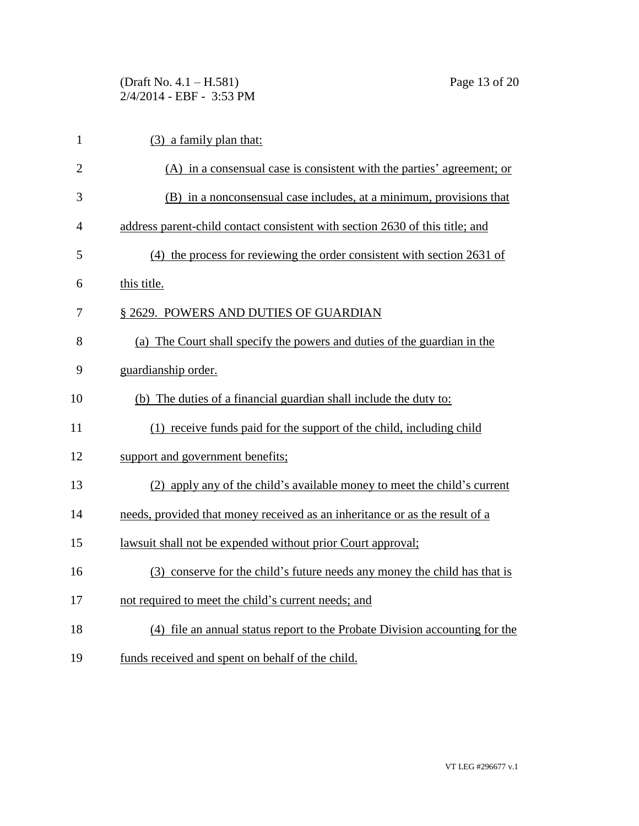(Draft No. 4.1 – H.581) Page 13 of 20 2/4/2014 - EBF - 3:53 PM

| $\mathbf{1}$   | $(3)$ a family plan that:                                                    |
|----------------|------------------------------------------------------------------------------|
| $\overline{2}$ | (A) in a consensual case is consistent with the parties' agreement; or       |
| 3              | (B) in a nonconsensual case includes, at a minimum, provisions that          |
| 4              | address parent-child contact consistent with section 2630 of this title; and |
| 5              | (4) the process for reviewing the order consistent with section 2631 of      |
| 6              | this title.                                                                  |
| 7              | § 2629. POWERS AND DUTIES OF GUARDIAN                                        |
| 8              | (a) The Court shall specify the powers and duties of the guardian in the     |
| 9              | guardianship order.                                                          |
| 10             | (b) The duties of a financial guardian shall include the duty to:            |
| 11             | (1) receive funds paid for the support of the child, including child         |
| 12             | support and government benefits;                                             |
| 13             | (2) apply any of the child's available money to meet the child's current     |
| 14             | needs, provided that money received as an inheritance or as the result of a  |
| 15             | lawsuit shall not be expended without prior Court approval;                  |
| 16             | (3) conserve for the child's future needs any money the child has that is    |
| 17             | not required to meet the child's current needs; and                          |
| 18             | (4) file an annual status report to the Probate Division accounting for the  |
| 19             | funds received and spent on behalf of the child.                             |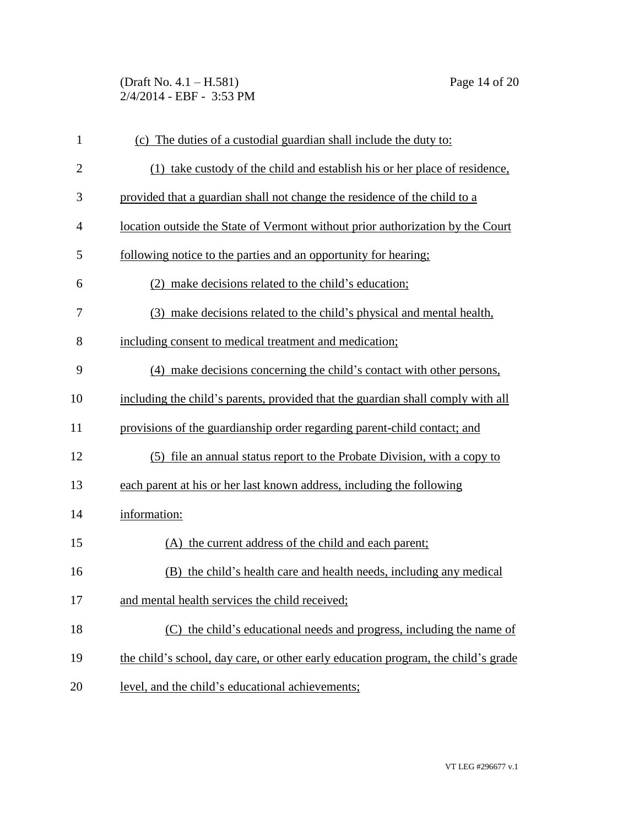(Draft No. 4.1 – H.581) Page 14 of 20 2/4/2014 - EBF - 3:53 PM

| $\mathbf{1}$   | (c) The duties of a custodial guardian shall include the duty to:                 |
|----------------|-----------------------------------------------------------------------------------|
| $\mathbf{2}$   | (1) take custody of the child and establish his or her place of residence,        |
| 3              | provided that a guardian shall not change the residence of the child to a         |
| $\overline{4}$ | location outside the State of Vermont without prior authorization by the Court    |
| 5              | following notice to the parties and an opportunity for hearing;                   |
| 6              | (2) make decisions related to the child's education;                              |
| 7              | (3) make decisions related to the child's physical and mental health,             |
| 8              | including consent to medical treatment and medication;                            |
| 9              | (4) make decisions concerning the child's contact with other persons,             |
| 10             | including the child's parents, provided that the guardian shall comply with all   |
| 11             | provisions of the guardianship order regarding parent-child contact; and          |
| 12             | (5) file an annual status report to the Probate Division, with a copy to          |
| 13             | each parent at his or her last known address, including the following             |
| 14             | information:                                                                      |
| 15             | (A) the current address of the child and each parent;                             |
| 16             | (B) the child's health care and health needs, including any medical               |
| 17             | and mental health services the child received;                                    |
| 18             | (C) the child's educational needs and progress, including the name of             |
| 19             | the child's school, day care, or other early education program, the child's grade |
| 20             | level, and the child's educational achievements;                                  |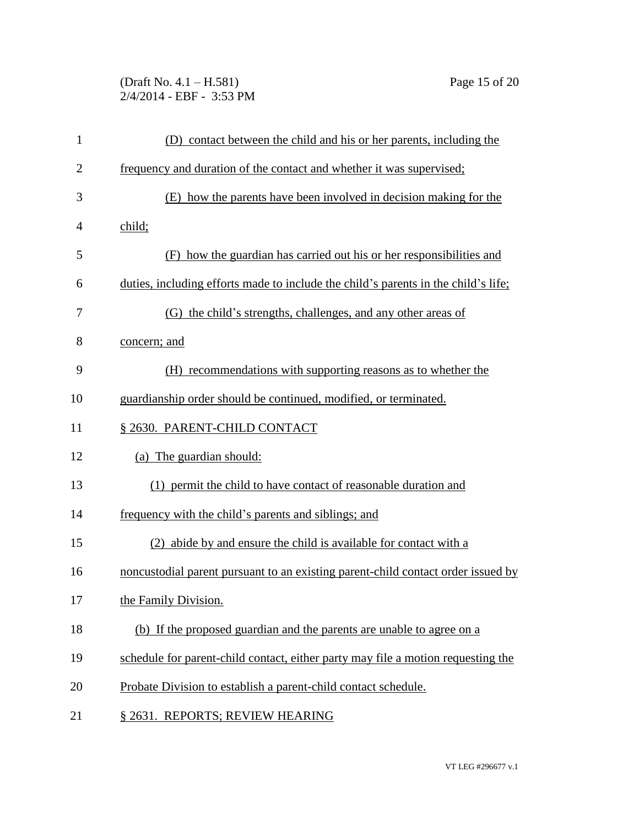(Draft No. 4.1 – H.581) Page 15 of 20 2/4/2014 - EBF - 3:53 PM

| $\mathbf{1}$   | (D) contact between the child and his or her parents, including the                |
|----------------|------------------------------------------------------------------------------------|
| $\overline{2}$ | frequency and duration of the contact and whether it was supervised;               |
| 3              | (E) how the parents have been involved in decision making for the                  |
| 4              | child;                                                                             |
| 5              | (F) how the guardian has carried out his or her responsibilities and               |
| 6              | duties, including efforts made to include the child's parents in the child's life; |
| 7              | (G) the child's strengths, challenges, and any other areas of                      |
| 8              | concern; and                                                                       |
| 9              | (H) recommendations with supporting reasons as to whether the                      |
| 10             | guardianship order should be continued, modified, or terminated.                   |
| 11             | § 2630. PARENT-CHILD CONTACT                                                       |
| 12             | (a) The guardian should:                                                           |
| 13             | (1) permit the child to have contact of reasonable duration and                    |
| 14             | frequency with the child's parents and siblings; and                               |
| 15             | (2) abide by and ensure the child is available for contact with a                  |
| 16             | noncustodial parent pursuant to an existing parent-child contact order issued by   |
| 17             | the Family Division.                                                               |
| 18             | (b) If the proposed guardian and the parents are unable to agree on a              |
| 19             | schedule for parent-child contact, either party may file a motion requesting the   |
| 20             | Probate Division to establish a parent-child contact schedule.                     |
| 21             | § 2631. REPORTS; REVIEW HEARING                                                    |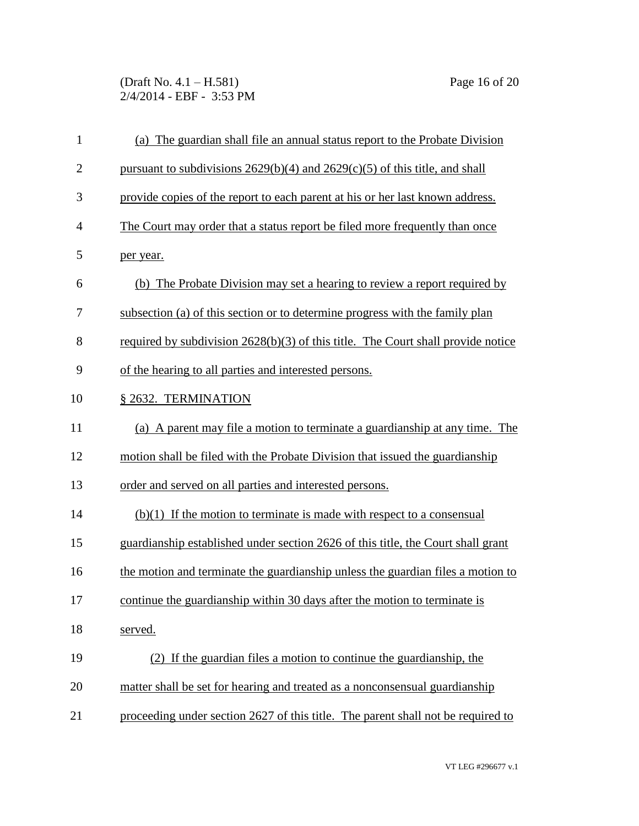(Draft No. 4.1 – H.581) Page 16 of 20 2/4/2014 - EBF - 3:53 PM

| $\mathbf{1}$   | (a) The guardian shall file an annual status report to the Probate Division        |
|----------------|------------------------------------------------------------------------------------|
| $\overline{2}$ | pursuant to subdivisions $2629(b)(4)$ and $2629(c)(5)$ of this title, and shall    |
| 3              | provide copies of the report to each parent at his or her last known address.      |
| $\overline{4}$ | The Court may order that a status report be filed more frequently than once        |
| 5              | per year.                                                                          |
| 6              | (b) The Probate Division may set a hearing to review a report required by          |
| 7              | subsection (a) of this section or to determine progress with the family plan       |
| 8              | required by subdivision $2628(b)(3)$ of this title. The Court shall provide notice |
| 9              | of the hearing to all parties and interested persons.                              |
| 10             | § 2632. TERMINATION                                                                |
| 11             | (a) A parent may file a motion to terminate a guardianship at any time. The        |
| 12             | motion shall be filed with the Probate Division that issued the guardianship       |
| 13             | order and served on all parties and interested persons.                            |
| 14             | $(b)(1)$ If the motion to terminate is made with respect to a consensual           |
| 15             | guardianship established under section 2626 of this title, the Court shall grant   |
| 16             | the motion and terminate the guardianship unless the guardian files a motion to    |
| 17             | continue the guardianship within 30 days after the motion to terminate is          |
| 18             | served.                                                                            |
| 19             | (2) If the guardian files a motion to continue the guardianship, the               |
| 20             | matter shall be set for hearing and treated as a nonconsensual guardianship        |
| 21             | proceeding under section 2627 of this title. The parent shall not be required to   |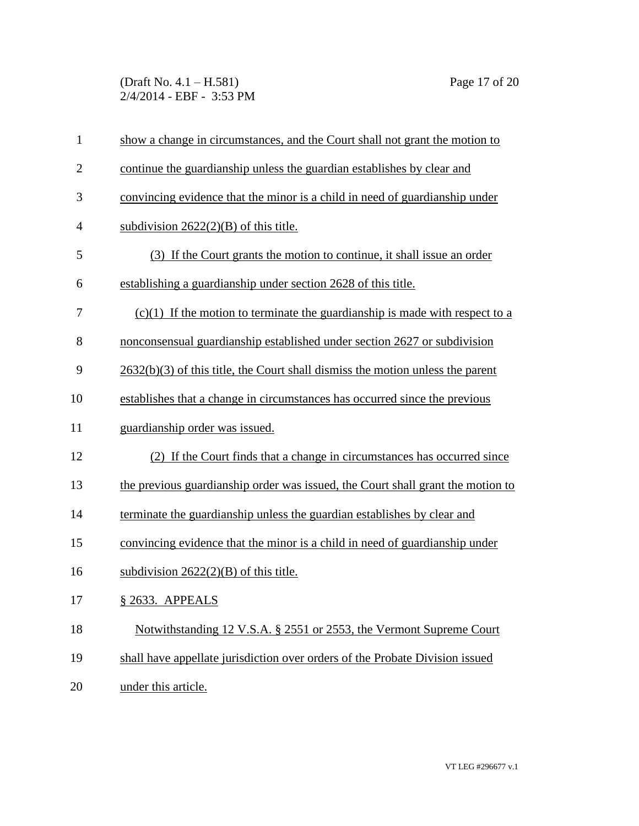(Draft No. 4.1 – H.581) Page 17 of 20 2/4/2014 - EBF - 3:53 PM

| $\mathbf{1}$   | show a change in circumstances, and the Court shall not grant the motion to      |
|----------------|----------------------------------------------------------------------------------|
| $\mathbf{2}$   | continue the guardianship unless the guardian establishes by clear and           |
| 3              | convincing evidence that the minor is a child in need of guardianship under      |
| $\overline{4}$ | subdivision $2622(2)(B)$ of this title.                                          |
| 5              | (3) If the Court grants the motion to continue, it shall issue an order          |
| 6              | establishing a guardianship under section 2628 of this title.                    |
| 7              | $(c)(1)$ If the motion to terminate the guardianship is made with respect to a   |
| 8              | nonconsensual guardianship established under section 2627 or subdivision         |
| 9              | $2632(b)(3)$ of this title, the Court shall dismiss the motion unless the parent |
| 10             | establishes that a change in circumstances has occurred since the previous       |
| 11             | guardianship order was issued.                                                   |
| 12             | (2) If the Court finds that a change in circumstances has occurred since         |
| 13             | the previous guardianship order was issued, the Court shall grant the motion to  |
| 14             | terminate the guardianship unless the guardian establishes by clear and          |
| 15             | convincing evidence that the minor is a child in need of guardianship under      |
| 16             | subdivision $2622(2)(B)$ of this title.                                          |
| 17             | § 2633. APPEALS                                                                  |
| 18             | Notwithstanding 12 V.S.A. § 2551 or 2553, the Vermont Supreme Court              |
| 19             | shall have appellate jurisdiction over orders of the Probate Division issued     |
| 20             | under this article.                                                              |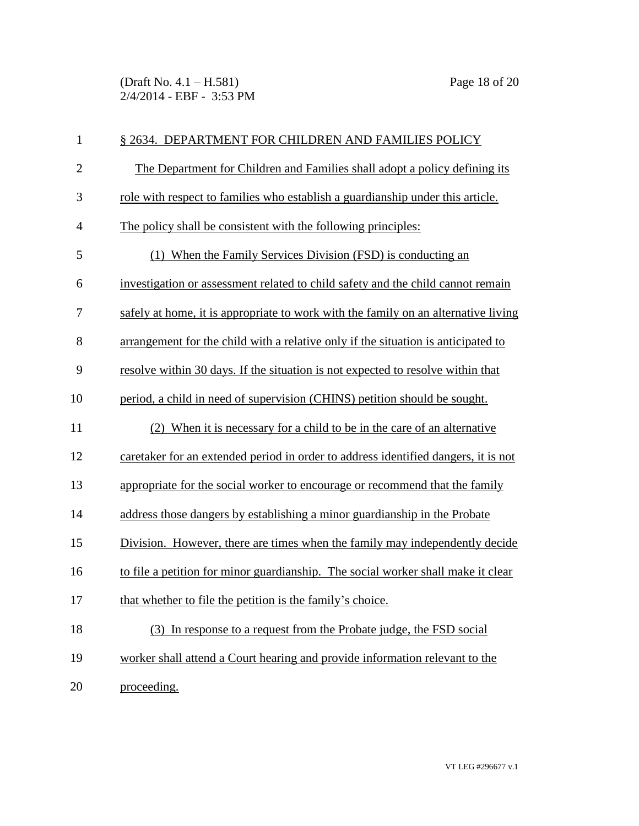(Draft No. 4.1 – H.581) Page 18 of 20 2/4/2014 - EBF - 3:53 PM

| $\mathbf{1}$   | § 2634. DEPARTMENT FOR CHILDREN AND FAMILIES POLICY                                |
|----------------|------------------------------------------------------------------------------------|
| $\mathbf{2}$   | The Department for Children and Families shall adopt a policy defining its         |
| 3              | role with respect to families who establish a guardianship under this article.     |
| $\overline{4}$ | The policy shall be consistent with the following principles:                      |
| 5              | (1) When the Family Services Division (FSD) is conducting an                       |
| 6              | investigation or assessment related to child safety and the child cannot remain    |
| 7              | safely at home, it is appropriate to work with the family on an alternative living |
| 8              | arrangement for the child with a relative only if the situation is anticipated to  |
| 9              | resolve within 30 days. If the situation is not expected to resolve within that    |
| 10             | period, a child in need of supervision (CHINS) petition should be sought.          |
| 11             | (2) When it is necessary for a child to be in the care of an alternative           |
| 12             | caretaker for an extended period in order to address identified dangers, it is not |
| 13             | appropriate for the social worker to encourage or recommend that the family        |
| 14             | address those dangers by establishing a minor guardianship in the Probate          |
| 15             | Division. However, there are times when the family may independently decide        |
| 16             | to file a petition for minor guardianship. The social worker shall make it clear   |
| 17             | that whether to file the petition is the family's choice.                          |
| 18             | (3) In response to a request from the Probate judge, the FSD social                |
| 19             | worker shall attend a Court hearing and provide information relevant to the        |
| 20             | proceeding.                                                                        |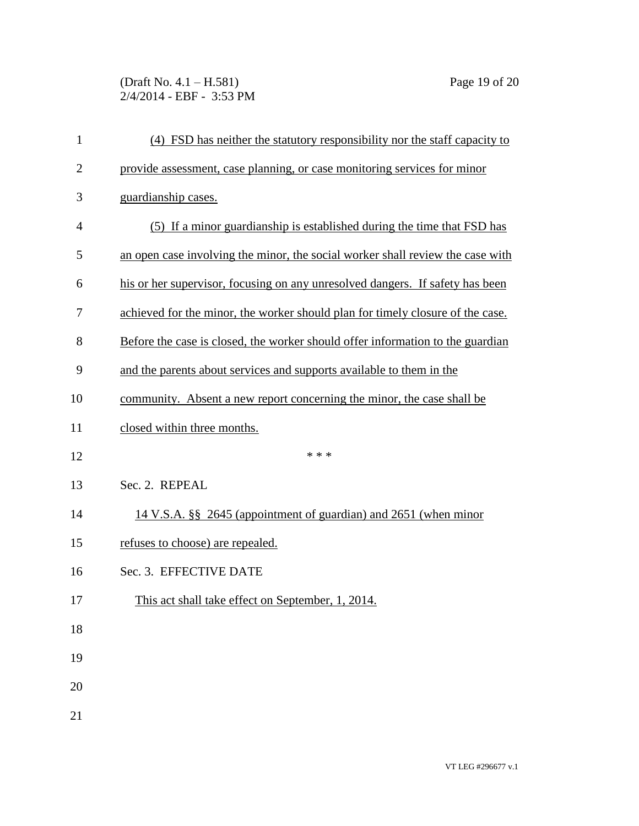(Draft No. 4.1 – H.581) Page 19 of 20 2/4/2014 - EBF - 3:53 PM

| $\mathbf{1}$   | (4) FSD has neither the statutory responsibility nor the staff capacity to     |
|----------------|--------------------------------------------------------------------------------|
| $\overline{c}$ | provide assessment, case planning, or case monitoring services for minor       |
| 3              | guardianship cases.                                                            |
| 4              | (5) If a minor guardianship is established during the time that FSD has        |
| 5              | an open case involving the minor, the social worker shall review the case with |
| 6              | his or her supervisor, focusing on any unresolved dangers. If safety has been  |
| 7              | achieved for the minor, the worker should plan for timely closure of the case. |
| 8              | Before the case is closed, the worker should offer information to the guardian |
| 9              | and the parents about services and supports available to them in the           |
| 10             | community. Absent a new report concerning the minor, the case shall be         |
| 11             | closed within three months.                                                    |
| 12             | * * *                                                                          |
| 13             | Sec. 2. REPEAL                                                                 |
| 14             | 14 V.S.A. §§ 2645 (appointment of guardian) and 2651 (when minor               |
| 15             | refuses to choose) are repealed.                                               |
| 16             | Sec. 3. EFFECTIVE DATE                                                         |
| 17             | This act shall take effect on September, 1, 2014.                              |
| 18             |                                                                                |
| 19             |                                                                                |
| 20             |                                                                                |
| 21             |                                                                                |